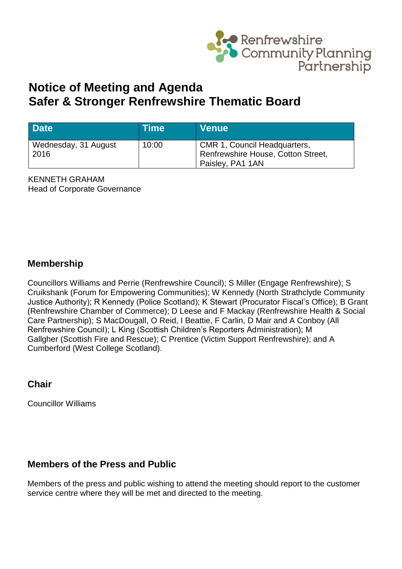

# **Notice of Meeting and Agenda Safer & Stronger Renfrewshire Thematic Board**

| <b>Date</b>                  | Time\ | <b>Venue</b>                                                                                  |
|------------------------------|-------|-----------------------------------------------------------------------------------------------|
| Wednesday, 31 August<br>2016 | 10:00 | <b>CMR 1, Council Headquarters,</b><br>Renfrewshire House, Cotton Street,<br>Paisley, PA1 1AN |

KENNETH GRAHAM Head of Corporate Governance

### **Membership**

Councillors Williams and Perrie (Renfrewshire Council); S Miller (Engage Renfrewshire); S Cruikshank (Forum for Empowering Communities); W Kennedy (North Strathclyde Community Justice Authority); R Kennedy (Police Scotland); K Stewart (Procurator Fiscal's Office); B Grant (Renfrewshire Chamber of Commerce); D Leese and F Mackay (Renfrewshire Health & Social Care Partnership); S MacDougall, O Reid, I Beattie, F Carlin, D Mair and A Conboy (All Renfrewshire Council); L King (Scottish Children's Reporters Administration); M Gallgher (Scottish Fire and Rescue); C Prentice (Victim Support Renfrewshire); and A Cumberford (West College Scotland).

### **Chair**

Councillor Williams

### **Members of the Press and Public**

Members of the press and public wishing to attend the meeting should report to the customer service centre where they will be met and directed to the meeting.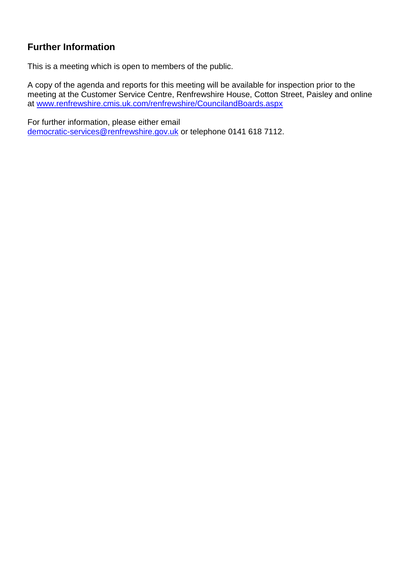## **Further Information**

This is a meeting which is open to members of the public.

A copy of the agenda and reports for this meeting will be available for inspection prior to the meeting at the Customer Service Centre, Renfrewshire House, Cotton Street, Paisley and online at [www.renfrewshire.cmis.uk.com/renfrewshire/CouncilandBoards.aspx](http://www.renfrewshire.cmis.uk.com/renfrewshire/CouncilandBoards.aspx)

For further information, please either email [democratic-services@renfrewshire.gov.uk](mailto:democratic-services@renfrewshire.gov.uk) or telephone 0141 618 7112.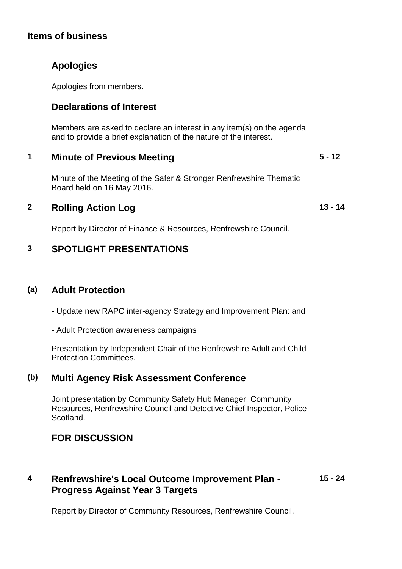### **Items of business**

### **Apologies**

Apologies from members.

### **Declarations of Interest**

Members are asked to declare an interest in any item(s) on the agenda and to provide a brief explanation of the nature of the interest.

#### **1 Minute of Previous Meeting 5 - 12**

Minute of the Meeting of the Safer & Stronger Renfrewshire Thematic Board held on 16 May 2016.

**13 - 14**

### **2 Rolling Action Log**

Report by Director of Finance & Resources, Renfrewshire Council.

### **3 SPOTLIGHT PRESENTATIONS**

### **(a) Adult Protection**

- Update new RAPC inter-agency Strategy and Improvement Plan: and

- Adult Protection awareness campaigns

Presentation by Independent Chair of the Renfrewshire Adult and Child Protection Committees.

### **(b) Multi Agency Risk Assessment Conference**

Joint presentation by Community Safety Hub Manager, Community Resources, Renfrewshire Council and Detective Chief Inspector, Police Scotland.

### **FOR DISCUSSION**

### **4 Renfrewshire's Local Outcome Improvement Plan - Progress Against Year 3 Targets 15 - 24**

Report by Director of Community Resources, Renfrewshire Council.